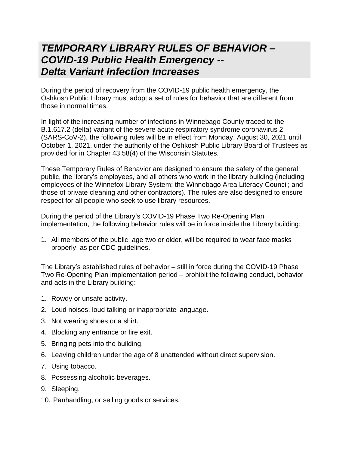## *TEMPORARY LIBRARY RULES OF BEHAVIOR – COVID-19 Public Health Emergency -- Delta Variant Infection Increases*

During the period of recovery from the COVID-19 public health emergency, the Oshkosh Public Library must adopt a set of rules for behavior that are different from those in normal times.

In light of the increasing number of infections in Winnebago County traced to the B.1.617.2 (delta) variant of the severe acute respiratory syndrome coronavirus 2 (SARS-CoV-2), the following rules will be in effect from Monday, August 30, 2021 until October 1, 2021, under the authority of the Oshkosh Public Library Board of Trustees as provided for in Chapter 43.58(4) of the Wisconsin Statutes.

These Temporary Rules of Behavior are designed to ensure the safety of the general public, the library's employees, and all others who work in the library building (including employees of the Winnefox Library System; the Winnebago Area Literacy Council; and those of private cleaning and other contractors). The rules are also designed to ensure respect for all people who seek to use library resources.

During the period of the Library's COVID-19 Phase Two Re-Opening Plan implementation, the following behavior rules will be in force inside the Library building:

1. All members of the public, age two or older, will be required to wear face masks properly, as per CDC guidelines.

The Library's established rules of behavior – still in force during the COVID-19 Phase Two Re-Opening Plan implementation period – prohibit the following conduct, behavior and acts in the Library building:

- 1. Rowdy or unsafe activity.
- 2. Loud noises, loud talking or inappropriate language.
- 3. Not wearing shoes or a shirt.
- 4. Blocking any entrance or fire exit.
- 5. Bringing pets into the building.
- 6. Leaving children under the age of 8 unattended without direct supervision.
- 7. Using tobacco.
- 8. Possessing alcoholic beverages.
- 9. Sleeping.
- 10. Panhandling, or selling goods or services.